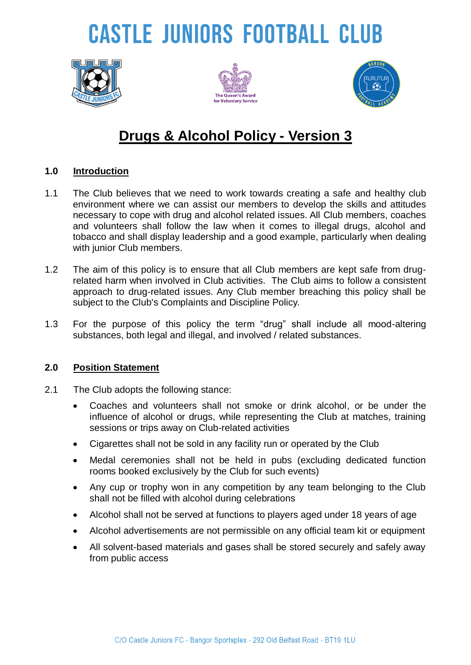# **CASTLE JUNIORS FOOTBALL CLUB**







### **Drugs & Alcohol Policy - Version 3**

#### **1.0 Introduction**

- 1.1 The Club believes that we need to work towards creating a safe and healthy club environment where we can assist our members to develop the skills and attitudes necessary to cope with drug and alcohol related issues. All Club members, coaches and volunteers shall follow the law when it comes to illegal drugs, alcohol and tobacco and shall display leadership and a good example, particularly when dealing with junior Club members.
- 1.2 The aim of this policy is to ensure that all Club members are kept safe from drugrelated harm when involved in Club activities. The Club aims to follow a consistent approach to drug-related issues. Any Club member breaching this policy shall be subject to the Club's Complaints and Discipline Policy.
- 1.3 For the purpose of this policy the term "drug" shall include all mood-altering substances, both legal and illegal, and involved / related substances.

#### **2.0 Position Statement**

- 2.1 The Club adopts the following stance:
	- Coaches and volunteers shall not smoke or drink alcohol, or be under the influence of alcohol or drugs, while representing the Club at matches, training sessions or trips away on Club-related activities
	- Cigarettes shall not be sold in any facility run or operated by the Club
	- Medal ceremonies shall not be held in pubs (excluding dedicated function rooms booked exclusively by the Club for such events)
	- Any cup or trophy won in any competition by any team belonging to the Club shall not be filled with alcohol during celebrations
	- Alcohol shall not be served at functions to players aged under 18 years of age
	- Alcohol advertisements are not permissible on any official team kit or equipment
	- All solvent-based materials and gases shall be stored securely and safely away from public access